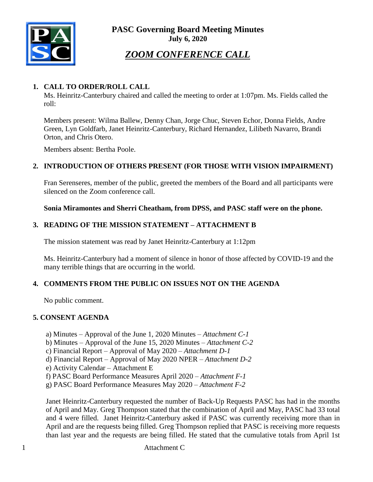**PASC Governing Board Meeting Minutes July 6, 2020**



# *ZOOM CONFERENCE CALL*

#### **1. CALL TO ORDER/ROLL CALL**

Ms. Heinritz-Canterbury chaired and called the meeting to order at 1:07pm. Ms. Fields called the roll:

Members present: Wilma Ballew, Denny Chan, Jorge Chuc, Steven Echor, Donna Fields, Andre Green, Lyn Goldfarb, Janet Heinritz-Canterbury, Richard Hernandez, Lilibeth Navarro, Brandi Orton, and Chris Otero.

Members absent: Bertha Poole.

#### **2. INTRODUCTION OF OTHERS PRESENT (FOR THOSE WITH VISION IMPAIRMENT)**

Fran Serenseres, member of the public, greeted the members of the Board and all participants were silenced on the Zoom conference call.

**Sonia Miramontes and Sherri Cheatham, from DPSS, and PASC staff were on the phone.**

#### **3. READING OF THE MISSION STATEMENT – ATTACHMENT B**

The mission statement was read by Janet Heinritz-Canterbury at 1:12pm

Ms. Heinritz-Canterbury had a moment of silence in honor of those affected by COVID-19 and the many terrible things that are occurring in the world.

#### **4. COMMENTS FROM THE PUBLIC ON ISSUES NOT ON THE AGENDA**

No public comment.

#### **5. CONSENT AGENDA**

a) Minutes – Approval of the June 1, 2020 Minutes – *Attachment C-1*

b) Minutes – Approval of the June 15, 2020 Minutes – *Attachment C-2*

- c) Financial Report Approval of May 2020 *Attachment D-1*
- d) Financial Report Approval of May 2020 NPER *Attachment D-2*
- e) Activity Calendar Attachment E
- f) PASC Board Performance Measures April 2020 *– Attachment F-1*
- g) PASC Board Performance Measures May 2020 *– Attachment F-2*

Janet Heinritz-Canterbury requested the number of Back-Up Requests PASC has had in the months of April and May. Greg Thompson stated that the combination of April and May, PASC had 33 total and 4 were filled. Janet Heinritz-Canterbury asked if PASC was currently receiving more than in April and are the requests being filled. Greg Thompson replied that PASC is receiving more requests than last year and the requests are being filled. He stated that the cumulative totals from April 1st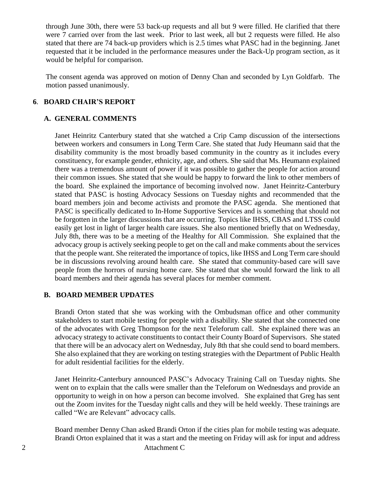through June 30th, there were 53 back-up requests and all but 9 were filled. He clarified that there were 7 carried over from the last week. Prior to last week, all but 2 requests were filled. He also stated that there are 74 back-up providers which is 2.5 times what PASC had in the beginning. Janet requested that it be included in the performance measures under the Back-Up program section, as it would be helpful for comparison.

The consent agenda was approved on motion of Denny Chan and seconded by Lyn Goldfarb. The motion passed unanimously.

#### **6**. **BOARD CHAIR'S REPORT**

#### **A. GENERAL COMMENTS**

Janet Heinritz Canterbury stated that she watched a Crip Camp discussion of the intersections between workers and consumers in Long Term Care. She stated that Judy Heumann said that the disability community is the most broadly based community in the country as it includes every constituency, for example gender, ethnicity, age, and others. She said that Ms. Heumann explained there was a tremendous amount of power if it was possible to gather the people for action around their common issues. She stated that she would be happy to forward the link to other members of the board. She explained the importance of becoming involved now. Janet Heinritz-Canterbury stated that PASC is hosting Advocacy Sessions on Tuesday nights and recommended that the board members join and become activists and promote the PASC agenda. She mentioned that PASC is specifically dedicated to In-Home Supportive Services and is something that should not be forgotten in the larger discussions that are occurring. Topics like IHSS, CBAS and LTSS could easily get lost in light of larger health care issues. She also mentioned briefly that on Wednesday, July 8th, there was to be a meeting of the Healthy for All Commission. She explained that the advocacy group is actively seeking people to get on the call and make comments about the services that the people want. She reiterated the importance of topics, like IHSS and Long Term care should be in discussions revolving around health care. She stated that community-based care will save people from the horrors of nursing home care. She stated that she would forward the link to all board members and their agenda has several places for member comment.

#### **B. BOARD MEMBER UPDATES**

Brandi Orton stated that she was working with the Ombudsman office and other community stakeholders to start mobile testing for people with a disability. She stated that she connected one of the advocates with Greg Thompson for the next Teleforum call. She explained there was an advocacy strategy to activate constituents to contact their County Board of Supervisors. She stated that there will be an advocacy alert on Wednesday, July 8th that she could send to board members. She also explained that they are working on testing strategies with the Department of Public Health for adult residential facilities for the elderly.

Janet Heinritz-Canterbury announced PASC's Advocacy Training Call on Tuesday nights. She went on to explain that the calls were smaller than the Teleforum on Wednesdays and provide an opportunity to weigh in on how a person can become involved. She explained that Greg has sent out the Zoom invites for the Tuesday night calls and they will be held weekly. These trainings are called "We are Relevant" advocacy calls.

2 Attachment C Board member Denny Chan asked Brandi Orton if the cities plan for mobile testing was adequate. Brandi Orton explained that it was a start and the meeting on Friday will ask for input and address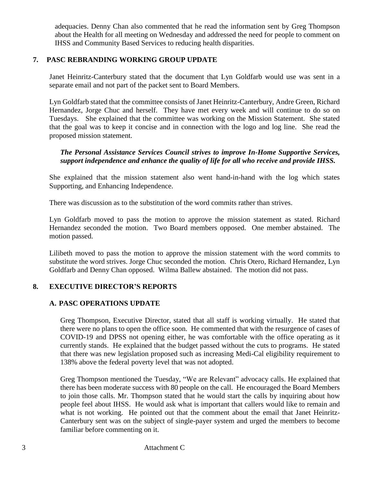adequacies. Denny Chan also commented that he read the information sent by Greg Thompson about the Health for all meeting on Wednesday and addressed the need for people to comment on IHSS and Community Based Services to reducing health disparities.

#### **7. PASC REBRANDING WORKING GROUP UPDATE**

Janet Heinritz-Canterbury stated that the document that Lyn Goldfarb would use was sent in a separate email and not part of the packet sent to Board Members.

Lyn Goldfarb stated that the committee consists of Janet Heinritz-Canterbury, Andre Green, Richard Hernandez, Jorge Chuc and herself. They have met every week and will continue to do so on Tuesdays. She explained that the committee was working on the Mission Statement. She stated that the goal was to keep it concise and in connection with the logo and log line. She read the proposed mission statement.

#### *The Personal Assistance Services Council strives to improve In-Home Supportive Services, support independence and enhance the quality of life for all who receive and provide IHSS.*

She explained that the mission statement also went hand-in-hand with the log which states Supporting, and Enhancing Independence.

There was discussion as to the substitution of the word commits rather than strives.

Lyn Goldfarb moved to pass the motion to approve the mission statement as stated. Richard Hernandez seconded the motion. Two Board members opposed. One member abstained. The motion passed.

Lilibeth moved to pass the motion to approve the mission statement with the word commits to substitute the word strives. Jorge Chuc seconded the motion. Chris Otero, Richard Hernandez, Lyn Goldfarb and Denny Chan opposed. Wilma Ballew abstained. The motion did not pass.

#### **8. EXECUTIVE DIRECTOR'S REPORTS**

#### **A. PASC OPERATIONS UPDATE**

Greg Thompson, Executive Director, stated that all staff is working virtually. He stated that there were no plans to open the office soon. He commented that with the resurgence of cases of COVID-19 and DPSS not opening either, he was comfortable with the office operating as it currently stands. He explained that the budget passed without the cuts to programs. He stated that there was new legislation proposed such as increasing Medi-Cal eligibility requirement to 138% above the federal poverty level that was not adopted.

Greg Thompson mentioned the Tuesday, "We are Relevant" advocacy calls. He explained that there has been moderate success with 80 people on the call. He encouraged the Board Members to join those calls. Mr. Thompson stated that he would start the calls by inquiring about how people feel about IHSS. He would ask what is important that callers would like to remain and what is not working. He pointed out that the comment about the email that Janet Heinritz-Canterbury sent was on the subject of single-payer system and urged the members to become familiar before commenting on it.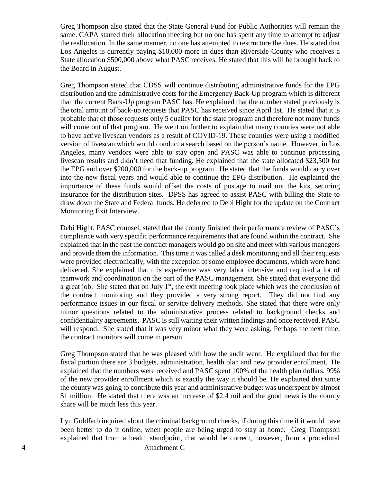Greg Thompson also stated that the State General Fund for Public Authorities will remain the same. CAPA started their allocation meeting but no one has spent any time to attempt to adjust the reallocation. In the same manner, no one has attempted to restructure the dues. He stated that Los Angeles is currently paying \$10,000 more in dues than Riverside County who receives a State allocation \$500,000 above what PASC receives. He stated that this will be brought back to the Board in August.

Greg Thompson stated that CDSS will continue distributing administrative funds for the EPG distribution and the administrative costs for the Emergency Back-Up program which is different than the current Back-Up program PASC has. He explained that the number stated previously is the total amount of back-up requests that PASC has received since April 1st. He stated that it is probable that of those requests only 5 qualify for the state program and therefore not many funds will come out of that program. He went on further to explain that many counties were not able to have active livescan vendors as a result of COVID-19. These counties were using a modified version of livescan which would conduct a search based on the person's name. However, in Los Angeles, many vendors were able to stay open and PASC was able to continue processing livescan results and didn't need that funding. He explained that the state allocated \$23,500 for the EPG and over \$200,000 for the back-up program. He stated that the funds would carry over into the new fiscal years and would able to continue the EPG distribution. He explained the importance of these funds would offset the costs of postage to mail out the kits, securing insurance for the distribution sites. DPSS has agreed to assist PASC with billing the State to draw down the State and Federal funds. He deferred to Debi Hight for the update on the Contract Monitoring Exit Interview.

Debi Hight, PASC counsel, stated that the county finished their performance review of PASC's compliance with very specific performance requirements that are found within the contract. She explained that in the past the contract managers would go on site and meet with various managers and provide them the information. Thistime it was called a desk monitoring and all their requests were provided electronically, with the exception of some employee documents, which were hand delivered. She explained that this experience was very labor intensive and required a lot of teamwork and coordination on the part of the PASC management. She stated that everyone did a great job. She stated that on July  $1<sup>st</sup>$ , the exit meeting took place which was the conclusion of the contract monitoring and they provided a very strong report. They did not find any performance issues in our fiscal or service delivery methods. She stated that there were only minor questions related to the administrative process related to background checks and confidentiality agreements. PASC isstill waiting their written findings and once received, PASC will respond. She stated that it was very minor what they were asking. Perhaps the next time, the contract monitors will come in person.

Greg Thompson stated that he was pleased with how the audit went. He explained that for the fiscal portion there are 3 budgets, administration, health plan and new provider enrollment. He explained that the numbers were received and PASC spent 100% of the health plan dollars, 99% of the new provider enrollment which is exactly the way it should be. He explained that since the county was going to contribute this year and administrative budget was underspent by almost \$1 million. He stated that there was an increase of \$2.4 mil and the good news is the county share will be much less this year.

Lyn Goldfarb inquired about the criminal background checks, if during this time if it would have been better to do it online, when people are being urged to stay at home. Greg Thompson explained that from a health standpoint, that would be correct, however, from a procedural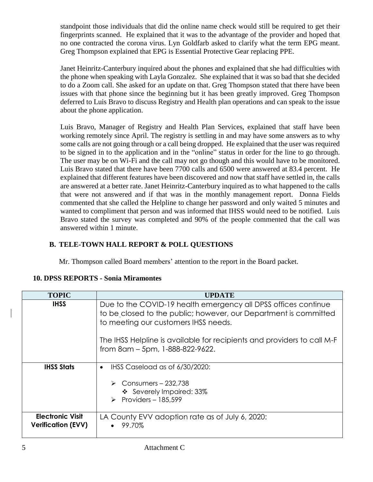standpoint those individuals that did the online name check would still be required to get their fingerprints scanned. He explained that it was to the advantage of the provider and hoped that no one contracted the corona virus. Lyn Goldfarb asked to clarify what the term EPG meant. Greg Thompson explained that EPG is Essential Protective Gear replacing PPE.

Janet Heinritz-Canterbury inquired about the phones and explained that she had difficulties with the phone when speaking with Layla Gonzalez. She explained that it was so bad that she decided to do a Zoom call. She asked for an update on that. Greg Thompson stated that there have been issues with that phone since the beginning but it has been greatly improved. Greg Thompson deferred to Luis Bravo to discuss Registry and Health plan operations and can speak to the issue about the phone application.

Luis Bravo, Manager of Registry and Health Plan Services, explained that staff have been working remotely since April. The registry is settling in and may have some answers as to why some calls are not going through or a call being dropped. He explained that the user was required to be signed in to the application and in the "online" status in order for the line to go through. The user may be on Wi-Fi and the call may not go though and this would have to be monitored. Luis Bravo stated that there have been 7700 calls and 6500 were answered at 83.4 percent. He explained that different features have been discovered and now that staff have settled in, the calls are answered at a better rate. Janet Heinritz-Canterbury inquired as to what happened to the calls that were not answered and if that was in the monthly management report. Donna Fields commented that she called the Helpline to change her password and only waited 5 minutes and wanted to compliment that person and was informed that IHSS would need to be notified. Luis Bravo stated the survey was completed and 90% of the people commented that the call was answered within 1 minute.

# **B. TELE-TOWN HALL REPORT & POLL QUESTIONS**

Mr. Thompson called Board members' attention to the report in the Board packet.

| <b>TOPIC</b>                                         | UPDATE                                                                                                                                                                     |
|------------------------------------------------------|----------------------------------------------------------------------------------------------------------------------------------------------------------------------------|
| <b>IHSS</b>                                          | Due to the COVID-19 health emergency all DPSS offices continue<br>to be closed to the public; however, our Department is committed<br>to meeting our customers IHSS needs. |
|                                                      | The IHSS Helpline is available for recipients and providers to call M-F<br>from 8am - 5pm, 1-888-822-9622.                                                                 |
| <b>IHSS Stats</b>                                    | IHSS Caseload as of 6/30/2020:<br>$\bullet$<br>$\triangleright$ Consumers - 232,738<br>❖ Severely Impaired: 33%<br>Providers - 185,599                                     |
| <b>Electronic Visit</b><br><b>Verification (EVV)</b> | LA County EVV adoption rate as of July 6, 2020:<br>99.70%                                                                                                                  |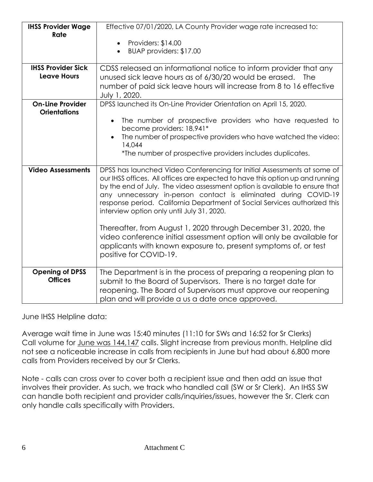| <b>IHSS Provider Wage</b><br>Rate              | Effective 07/01/2020, LA County Provider wage rate increased to:                                                                                                                                                                                                                                                                                                                                                                      |
|------------------------------------------------|---------------------------------------------------------------------------------------------------------------------------------------------------------------------------------------------------------------------------------------------------------------------------------------------------------------------------------------------------------------------------------------------------------------------------------------|
|                                                | Providers: \$14.00<br>$\bullet$                                                                                                                                                                                                                                                                                                                                                                                                       |
|                                                | BUAP providers: \$17.00                                                                                                                                                                                                                                                                                                                                                                                                               |
| <b>IHSS Provider Sick</b>                      | CDSS released an informational notice to inform provider that any                                                                                                                                                                                                                                                                                                                                                                     |
| <b>Leave Hours</b>                             | unused sick leave hours as of 6/30/20 would be erased.<br><b>The</b>                                                                                                                                                                                                                                                                                                                                                                  |
|                                                | number of paid sick leave hours will increase from 8 to 16 effective<br>July 1, 2020.                                                                                                                                                                                                                                                                                                                                                 |
| <b>On-Line Provider</b><br><b>Orientations</b> | DPSS launched its On-Line Provider Orientation on April 15, 2020.                                                                                                                                                                                                                                                                                                                                                                     |
|                                                | The number of prospective providers who have requested to<br>become providers: 18,941*                                                                                                                                                                                                                                                                                                                                                |
|                                                | The number of prospective providers who have watched the video:<br>14,044                                                                                                                                                                                                                                                                                                                                                             |
|                                                | *The number of prospective providers includes duplicates.                                                                                                                                                                                                                                                                                                                                                                             |
| <b>Video Assessments</b>                       | DPSS has launched Video Conferencing for Initial Assessments at some of<br>our IHSS offices. All offices are expected to have this option up and running<br>by the end of July. The video assessment option is available to ensure that<br>any unnecessary in-person contact is eliminated during COVID-19<br>response period. California Department of Social Services authorized this<br>interview option only until July 31, 2020. |
|                                                | Thereafter, from August 1, 2020 through December 31, 2020, the<br>video conference initial assessment option will only be available for<br>applicants with known exposure to, present symptoms of, or test<br>positive for COVID-19.                                                                                                                                                                                                  |
| <b>Opening of DPSS</b><br><b>Offices</b>       | The Department is in the process of preparing a reopening plan to<br>submit to the Board of Supervisors. There is no target date for<br>reopening. The Board of Supervisors must approve our reopening<br>plan and will provide a us a date once approved.                                                                                                                                                                            |

June IHSS Helpline data:

Average wait time in June was 15:40 minutes (11:10 for SWs and 16:52 for Sr Clerks) Call volume for June was 144,147 calls. Slight increase from previous month. Helpline did not see a noticeable increase in calls from recipients in June but had about 6,800 more calls from Providers received by our Sr Clerks.

Note - calls can cross over to cover both a recipient issue and then add an issue that involves their provider. As such, we track who handled call (SW or Sr Clerk). An IHSS SW can handle both recipient and provider calls/inquiries/issues, however the Sr. Clerk can only handle calls specifically with Providers.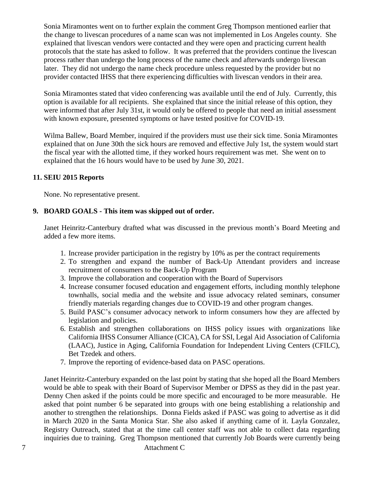Sonia Miramontes went on to further explain the comment Greg Thompson mentioned earlier that the change to livescan procedures of a name scan was not implemented in Los Angeles county. She explained that livescan vendors were contacted and they were open and practicing current health protocols that the state has asked to follow. It was preferred that the providers continue the livescan process rather than undergo the long process of the name check and afterwards undergo livescan later. They did not undergo the name check procedure unless requested by the provider but no provider contacted IHSS that there experiencing difficulties with livescan vendors in their area.

Sonia Miramontes stated that video conferencing was available until the end of July. Currently, this option is available for all recipients. She explained that since the initial release of this option, they were informed that after July 31st, it would only be offered to people that need an initial assessment with known exposure, presented symptoms or have tested positive for COVID-19.

Wilma Ballew, Board Member, inquired if the providers must use their sick time. Sonia Miramontes explained that on June 30th the sick hours are removed and effective July 1st, the system would start the fiscal year with the allotted time, if they worked hours requirement was met. She went on to explained that the 16 hours would have to be used by June 30, 2021.

#### **11. SEIU 2015 Reports**

None. No representative present.

#### **9. BOARD GOALS - This item was skipped out of order.**

Janet Heinritz-Canterbury drafted what was discussed in the previous month's Board Meeting and added a few more items.

- 1. Increase provider participation in the registry by 10% as per the contract requirements
- 2. To strengthen and expand the number of Back-Up Attendant providers and increase recruitment of consumers to the Back-Up Program
- 3. Improve the collaboration and cooperation with the Board of Supervisors
- 4. Increase consumer focused education and engagement efforts, including monthly telephone townhalls, social media and the website and issue advocacy related seminars, consumer friendly materials regarding changes due to COVID-19 and other program changes.
- 5. Build PASC's consumer advocacy network to inform consumers how they are affected by legislation and policies.
- 6. Establish and strengthen collaborations on IHSS policy issues with organizations like California IHSS Consumer Alliance (CICA), CA for SSI, Legal Aid Association of California (LAAC), Justice in Aging, California Foundation for Independent Living Centers (CFILC), Bet Tzedek and others.
- 7. Improve the reporting of evidence-based data on PASC operations.

Janet Heinritz-Canterbury expanded on the last point by stating that she hoped all the Board Members would be able to speak with their Board of Supervisor Member or DPSS as they did in the past year. Denny Chen asked if the points could be more specific and encouraged to be more measurable. He asked that point number 6 be separated into groups with one being establishing a relationship and another to strengthen the relationships. Donna Fields asked if PASC was going to advertise as it did in March 2020 in the Santa Monica Star. She also asked if anything came of it. Layla Gonzalez, Registry Outreach, stated that at the time call center staff was not able to collect data regarding inquiries due to training. Greg Thompson mentioned that currently Job Boards were currently being